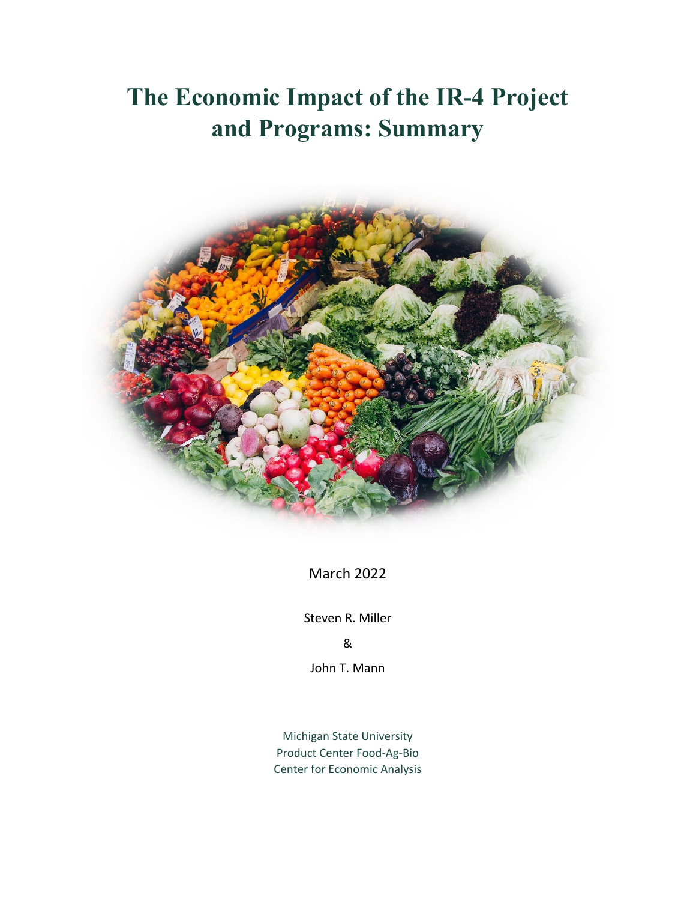## **The Economic Impact of the IR-4 Project and Programs: Summary**



March 2022

Steven R. Miller

&

John T. Mann

Michigan State University Product Center Food-Ag-Bio Center for Economic Analysis